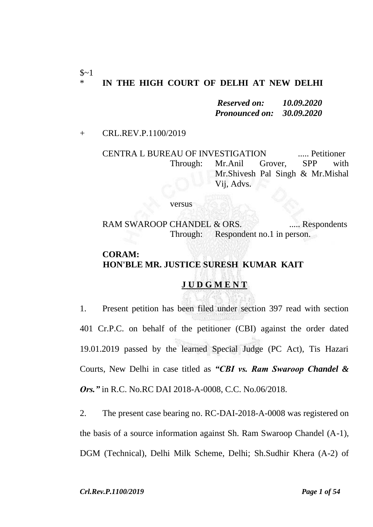#### $\sim$ 1 \* **IN THE HIGH COURT OF DELHI AT NEW DELHI**

*Reserved on: 10.09.2020 Pronounced on: 30.09.2020*

+ CRL.REV.P.1100/2019

CENTRA L BUREAU OF INVESTIGATION ..... Petitioner Through: Mr.Anil Grover, SPP with Mr.Shivesh Pal Singh & Mr.Mishal Vij, Advs.

#### versus

RAM SWAROOP CHANDEL & ORS. ...... Respondents Through: Respondent no.1 in person.

# **CORAM: HON'BLE MR. JUSTICE SURESH KUMAR KAIT**

#### **J U D G M E N T**

1. Present petition has been filed under section 397 read with section 401 Cr.P.C. on behalf of the petitioner (CBI) against the order dated 19.01.2019 passed by the learned Special Judge (PC Act), Tis Hazari Courts, New Delhi in case titled as *"CBI vs. Ram Swaroop Chandel & Ors."* in R.C. No.RC DAI 2018-A-0008, C.C. No.06/2018.

2. The present case bearing no. RC-DAI-2018-A-0008 was registered on the basis of a source information against Sh. Ram Swaroop Chandel (A-1), DGM (Technical), Delhi Milk Scheme, Delhi; Sh.Sudhir Khera (A-2) of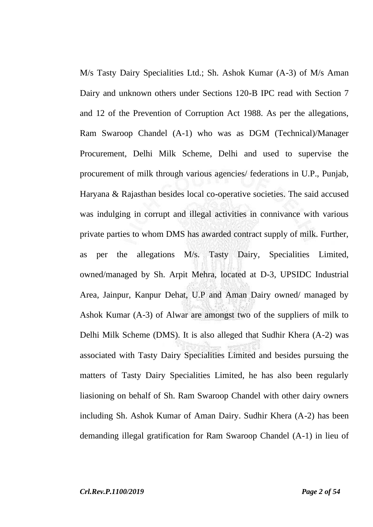M/s Tasty Dairy Specialities Ltd.; Sh. Ashok Kumar (A-3) of M/s Aman Dairy and unknown others under Sections 120-B IPC read with Section 7 and 12 of the Prevention of Corruption Act 1988. As per the allegations, Ram Swaroop Chandel (A-1) who was as DGM (Technical)/Manager Procurement, Delhi Milk Scheme, Delhi and used to supervise the procurement of milk through various agencies/ federations in U.P., Punjab, Haryana & Rajasthan besides local co-operative societies. The said accused was indulging in corrupt and illegal activities in connivance with various private parties to whom DMS has awarded contract supply of milk. Further, as per the allegations M/s. Tasty Dairy, Specialities Limited, owned/managed by Sh. Arpit Mehra, located at D-3, UPSIDC Industrial Area, Jainpur, Kanpur Dehat, U.P and Aman Dairy owned/ managed by Ashok Kumar (A-3) of Alwar are amongst two of the suppliers of milk to Delhi Milk Scheme (DMS). It is also alleged that Sudhir Khera (A-2) was associated with Tasty Dairy Specialities Limited and besides pursuing the matters of Tasty Dairy Specialities Limited, he has also been regularly liasioning on behalf of Sh. Ram Swaroop Chandel with other dairy owners including Sh. Ashok Kumar of Aman Dairy. Sudhir Khera (A-2) has been demanding illegal gratification for Ram Swaroop Chandel (A-1) in lieu of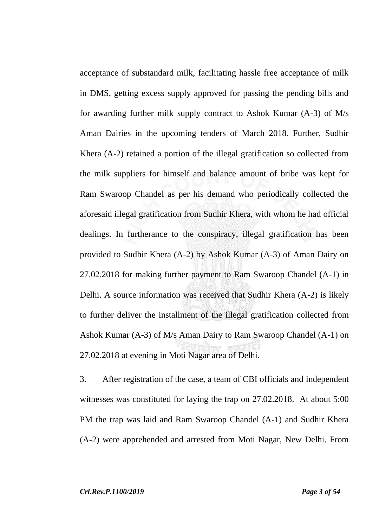acceptance of substandard milk, facilitating hassle free acceptance of milk in DMS, getting excess supply approved for passing the pending bills and for awarding further milk supply contract to Ashok Kumar (A-3) of M/s Aman Dairies in the upcoming tenders of March 2018. Further, Sudhir Khera (A-2) retained a portion of the illegal gratification so collected from the milk suppliers for himself and balance amount of bribe was kept for Ram Swaroop Chandel as per his demand who periodically collected the aforesaid illegal gratification from Sudhir Khera, with whom he had official dealings. In furtherance to the conspiracy, illegal gratification has been provided to Sudhir Khera (A-2) by Ashok Kumar (A-3) of Aman Dairy on 27.02.2018 for making further payment to Ram Swaroop Chandel (A-1) in Delhi. A source information was received that Sudhir Khera (A-2) is likely to further deliver the installment of the illegal gratification collected from Ashok Kumar (A-3) of M/s Aman Dairy to Ram Swaroop Chandel (A-1) on 27.02.2018 at evening in Moti Nagar area of Delhi.

3. After registration of the case, a team of CBI officials and independent witnesses was constituted for laying the trap on 27.02.2018. At about 5:00 PM the trap was laid and Ram Swaroop Chandel (A-1) and Sudhir Khera (A-2) were apprehended and arrested from Moti Nagar, New Delhi. From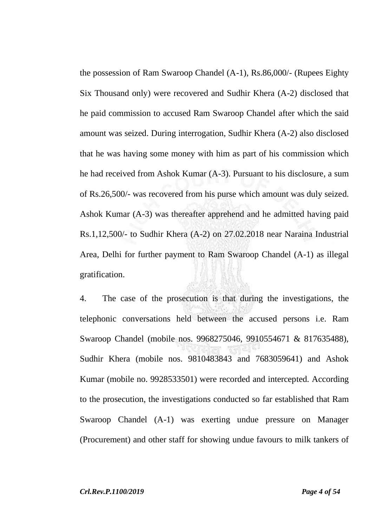the possession of Ram Swaroop Chandel (A-1), Rs.86,000/- (Rupees Eighty Six Thousand only) were recovered and Sudhir Khera (A-2) disclosed that he paid commission to accused Ram Swaroop Chandel after which the said amount was seized. During interrogation, Sudhir Khera (A-2) also disclosed that he was having some money with him as part of his commission which he had received from Ashok Kumar (A-3). Pursuant to his disclosure, a sum of Rs.26,500/- was recovered from his purse which amount was duly seized. Ashok Kumar (A-3) was thereafter apprehend and he admitted having paid Rs.1,12,500/- to Sudhir Khera (A-2) on 27.02.2018 near Naraina Industrial Area, Delhi for further payment to Ram Swaroop Chandel (A-1) as illegal gratification.

4. The case of the prosecution is that during the investigations, the telephonic conversations held between the accused persons i.e. Ram Swaroop Chandel (mobile nos. 9968275046, 9910554671 & 817635488), Sudhir Khera (mobile nos. 9810483843 and 7683059641) and Ashok Kumar (mobile no. 9928533501) were recorded and intercepted. According to the prosecution, the investigations conducted so far established that Ram Swaroop Chandel (A-1) was exerting undue pressure on Manager (Procurement) and other staff for showing undue favours to milk tankers of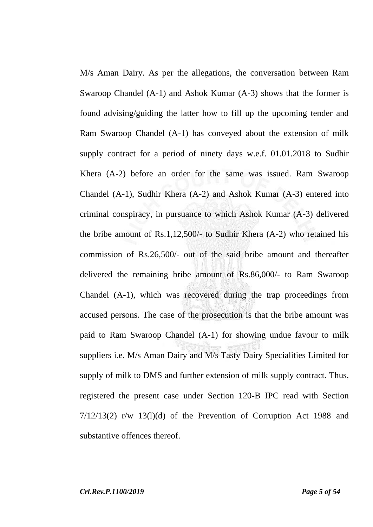M/s Aman Dairy. As per the allegations, the conversation between Ram Swaroop Chandel (A-1) and Ashok Kumar (A-3) shows that the former is found advising/guiding the latter how to fill up the upcoming tender and Ram Swaroop Chandel (A-1) has conveyed about the extension of milk supply contract for a period of ninety days w.e.f. 01.01.2018 to Sudhir Khera (A-2) before an order for the same was issued. Ram Swaroop Chandel (A-1), Sudhir Khera (A-2) and Ashok Kumar (A-3) entered into criminal conspiracy, in pursuance to which Ashok Kumar (A-3) delivered the bribe amount of Rs.1,12,500/- to Sudhir Khera (A-2) who retained his commission of Rs.26,500/- out of the said bribe amount and thereafter delivered the remaining bribe amount of Rs.86,000/- to Ram Swaroop Chandel (A-1), which was recovered during the trap proceedings from accused persons. The case of the prosecution is that the bribe amount was paid to Ram Swaroop Chandel (A-1) for showing undue favour to milk suppliers i.e. M/s Aman Dairy and M/s Tasty Dairy Specialities Limited for supply of milk to DMS and further extension of milk supply contract. Thus, registered the present case under Section 120-B IPC read with Section  $7/12/13(2)$  r/w  $13(1)(d)$  of the Prevention of Corruption Act 1988 and substantive offences thereof.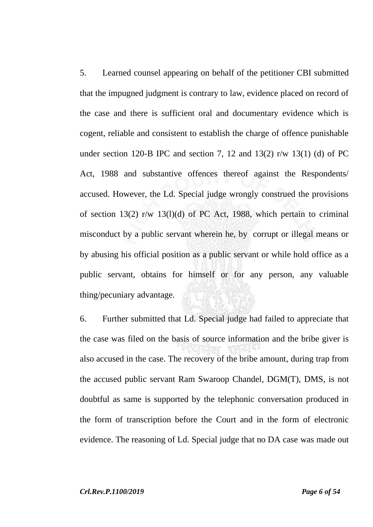5. Learned counsel appearing on behalf of the petitioner CBI submitted that the impugned judgment is contrary to law, evidence placed on record of the case and there is sufficient oral and documentary evidence which is cogent, reliable and consistent to establish the charge of offence punishable under section 120-B IPC and section 7, 12 and 13(2) r/w 13(1) (d) of PC Act, 1988 and substantive offences thereof against the Respondents/ accused. However, the Ld. Special judge wrongly construed the provisions of section 13(2) r/w 13(l)(d) of PC Act, 1988, which pertain to criminal misconduct by a public servant wherein he, by corrupt or illegal means or by abusing his official position as a public servant or while hold office as a public servant, obtains for himself or for any person, any valuable thing/pecuniary advantage.

6. Further submitted that Ld. Special judge had failed to appreciate that the case was filed on the basis of source information and the bribe giver is also accused in the case. The recovery of the bribe amount, during trap from the accused public servant Ram Swaroop Chandel, DGM(T), DMS, is not doubtful as same is supported by the telephonic conversation produced in the form of transcription before the Court and in the form of electronic evidence. The reasoning of Ld. Special judge that no DA case was made out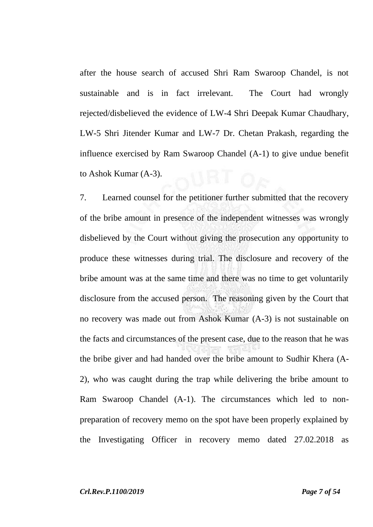after the house search of accused Shri Ram Swaroop Chandel, is not sustainable and is in fact irrelevant. The Court had wrongly rejected/disbelieved the evidence of LW-4 Shri Deepak Kumar Chaudhary, LW-5 Shri Jitender Kumar and LW-7 Dr. Chetan Prakash, regarding the influence exercised by Ram Swaroop Chandel (A-1) to give undue benefit to Ashok Kumar (A-3).

7. Learned counsel for the petitioner further submitted that the recovery of the bribe amount in presence of the independent witnesses was wrongly disbelieved by the Court without giving the prosecution any opportunity to produce these witnesses during trial. The disclosure and recovery of the bribe amount was at the same time and there was no time to get voluntarily disclosure from the accused person. The reasoning given by the Court that no recovery was made out from Ashok Kumar (A-3) is not sustainable on the facts and circumstances of the present case, due to the reason that he was the bribe giver and had handed over the bribe amount to Sudhir Khera (A-2), who was caught during the trap while delivering the bribe amount to Ram Swaroop Chandel (A-1). The circumstances which led to nonpreparation of recovery memo on the spot have been properly explained by the Investigating Officer in recovery memo dated 27.02.2018 as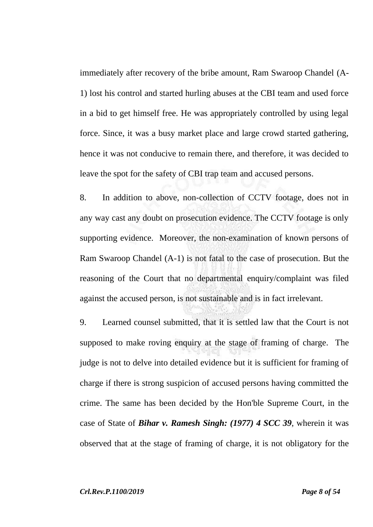immediately after recovery of the bribe amount, Ram Swaroop Chandel (A-1) lost his control and started hurling abuses at the CBI team and used force in a bid to get himself free. He was appropriately controlled by using legal force. Since, it was a busy market place and large crowd started gathering, hence it was not conducive to remain there, and therefore, it was decided to leave the spot for the safety of CBI trap team and accused persons.

8. In addition to above, non-collection of CCTV footage, does not in any way cast any doubt on prosecution evidence. The CCTV footage is only supporting evidence. Moreover, the non-examination of known persons of Ram Swaroop Chandel (A-1) is not fatal to the case of prosecution. But the reasoning of the Court that no departmental enquiry/complaint was filed against the accused person, is not sustainable and is in fact irrelevant.

9. Learned counsel submitted, that it is settled law that the Court is not supposed to make roving enquiry at the stage of framing of charge. The judge is not to delve into detailed evidence but it is sufficient for framing of charge if there is strong suspicion of accused persons having committed the crime. The same has been decided by the Hon'ble Supreme Court, in the case of State of *Bihar v. Ramesh Singh: (1977) 4 SCC 39*, wherein it was observed that at the stage of framing of charge, it is not obligatory for the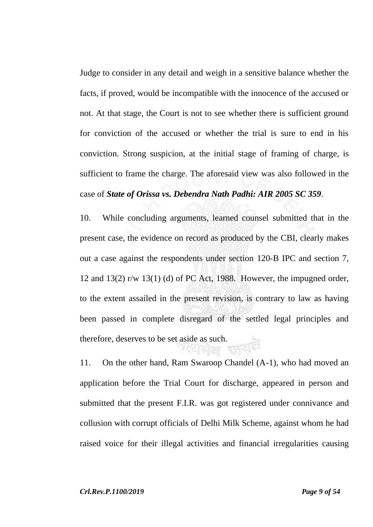Judge to consider in any detail and weigh in a sensitive balance whether the facts, if proved, would be incompatible with the innocence of the accused or not. At that stage, the Court is not to see whether there is sufficient ground for conviction of the accused or whether the trial is sure to end in his conviction. Strong suspicion, at the initial stage of framing of charge, is sufficient to frame the charge. The aforesaid view was also followed in the case of *State of Orissa vs. Debendra Nath Padhi: AIR 2005 SC 359*.

10. While concluding arguments, learned counsel submitted that in the present case, the evidence on record as produced by the CBI, clearly makes out a case against the respondents under section 120-B IPC and section 7, 12 and 13(2) r/w 13(1) (d) of PC Act, 1988. However, the impugned order, to the extent assailed in the present revision, is contrary to law as having been passed in complete disregard of the settled legal principles and therefore, deserves to be set aside as such. **THEIS** 

11. On the other hand, Ram Swaroop Chandel (A-1), who had moved an application before the Trial Court for discharge, appeared in person and submitted that the present F.I.R. was got registered under connivance and collusion with corrupt officials of Delhi Milk Scheme, against whom he had raised voice for their illegal activities and financial irregularities causing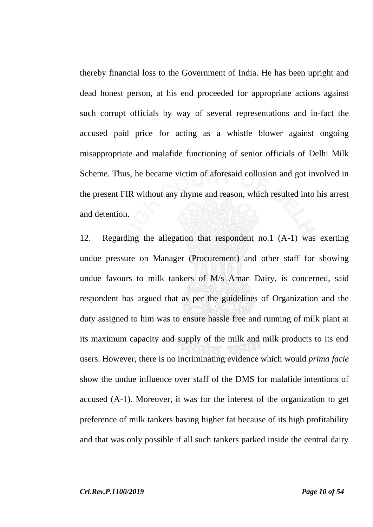thereby financial loss to the Government of India. He has been upright and dead honest person, at his end proceeded for appropriate actions against such corrupt officials by way of several representations and in-fact the accused paid price for acting as a whistle blower against ongoing misappropriate and malafide functioning of senior officials of Delhi Milk Scheme. Thus, he became victim of aforesaid collusion and got involved in the present FIR without any rhyme and reason, which resulted into his arrest and detention.

12. Regarding the allegation that respondent no.1 (A-1) was exerting undue pressure on Manager (Procurement) and other staff for showing undue favours to milk tankers of M/s Aman Dairy, is concerned, said respondent has argued that as per the guidelines of Organization and the duty assigned to him was to ensure hassle free and running of milk plant at its maximum capacity and supply of the milk and milk products to its end users. However, there is no incriminating evidence which would *prima facie* show the undue influence over staff of the DMS for malafide intentions of accused (A-1). Moreover, it was for the interest of the organization to get preference of milk tankers having higher fat because of its high profitability and that was only possible if all such tankers parked inside the central dairy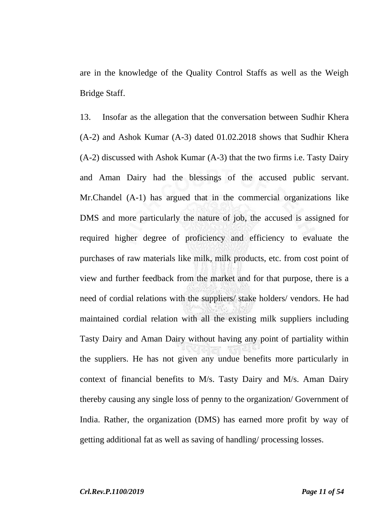are in the knowledge of the Quality Control Staffs as well as the Weigh Bridge Staff.

13. Insofar as the allegation that the conversation between Sudhir Khera (A-2) and Ashok Kumar (A-3) dated 01.02.2018 shows that Sudhir Khera (A-2) discussed with Ashok Kumar (A-3) that the two firms i.e. Tasty Dairy and Aman Dairy had the blessings of the accused public servant. Mr.Chandel (A-1) has argued that in the commercial organizations like DMS and more particularly the nature of job, the accused is assigned for required higher degree of proficiency and efficiency to evaluate the purchases of raw materials like milk, milk products, etc. from cost point of view and further feedback from the market and for that purpose, there is a need of cordial relations with the suppliers/ stake holders/ vendors. He had maintained cordial relation with all the existing milk suppliers including Tasty Dairy and Aman Dairy without having any point of partiality within the suppliers. He has not given any undue benefits more particularly in context of financial benefits to M/s. Tasty Dairy and M/s. Aman Dairy thereby causing any single loss of penny to the organization/ Government of India. Rather, the organization (DMS) has earned more profit by way of getting additional fat as well as saving of handling/ processing losses.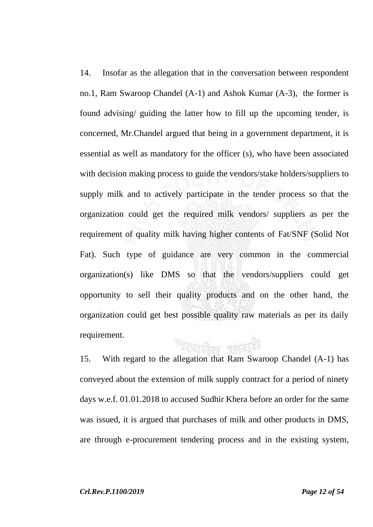14. Insofar as the allegation that in the conversation between respondent no.1, Ram Swaroop Chandel (A-1) and Ashok Kumar (A-3), the former is found advising/ guiding the latter how to fill up the upcoming tender, is concerned, Mr.Chandel argued that being in a government department, it is essential as well as mandatory for the officer (s), who have been associated with decision making process to guide the vendors/stake holders/suppliers to supply milk and to actively participate in the tender process so that the organization could get the required milk vendors/ suppliers as per the requirement of quality milk having higher contents of Fat/SNF (Solid Not Fat). Such type of guidance are very common in the commercial organization(s) like DMS so that the vendors/suppliers could get opportunity to sell their quality products and on the other hand, the organization could get best possible quality raw materials as per its daily requirement. Woole sold

15. With regard to the allegation that Ram Swaroop Chandel (A-1) has conveyed about the extension of milk supply contract for a period of ninety days w.e.f. 01.01.2018 to accused Sudhir Khera before an order for the same was issued, it is argued that purchases of milk and other products in DMS, are through e-procurement tendering process and in the existing system,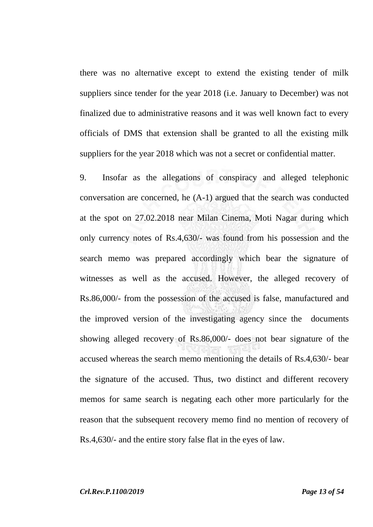there was no alternative except to extend the existing tender of milk suppliers since tender for the year 2018 (i.e. January to December) was not finalized due to administrative reasons and it was well known fact to every officials of DMS that extension shall be granted to all the existing milk suppliers for the year 2018 which was not a secret or confidential matter.

9. Insofar as the allegations of conspiracy and alleged telephonic conversation are concerned, he (A-1) argued that the search was conducted at the spot on 27.02.2018 near Milan Cinema, Moti Nagar during which only currency notes of Rs.4,630/- was found from his possession and the search memo was prepared accordingly which bear the signature of witnesses as well as the accused. However, the alleged recovery of Rs.86,000/- from the possession of the accused is false, manufactured and the improved version of the investigating agency since the documents showing alleged recovery of Rs.86,000/- does not bear signature of the accused whereas the search memo mentioning the details of Rs.4,630/- bear the signature of the accused. Thus, two distinct and different recovery memos for same search is negating each other more particularly for the reason that the subsequent recovery memo find no mention of recovery of Rs.4,630/- and the entire story false flat in the eyes of law.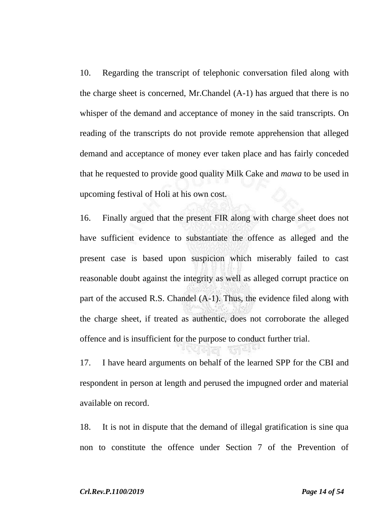10. Regarding the transcript of telephonic conversation filed along with the charge sheet is concerned, Mr.Chandel (A-1) has argued that there is no whisper of the demand and acceptance of money in the said transcripts. On reading of the transcripts do not provide remote apprehension that alleged demand and acceptance of money ever taken place and has fairly conceded that he requested to provide good quality Milk Cake and *mawa* to be used in upcoming festival of Holi at his own cost.

16. Finally argued that the present FIR along with charge sheet does not have sufficient evidence to substantiate the offence as alleged and the present case is based upon suspicion which miserably failed to cast reasonable doubt against the integrity as well as alleged corrupt practice on part of the accused R.S. Chandel (A-1). Thus, the evidence filed along with the charge sheet, if treated as authentic, does not corroborate the alleged offence and is insufficient for the purpose to conduct further trial.

17. I have heard arguments on behalf of the learned SPP for the CBI and respondent in person at length and perused the impugned order and material available on record.

18. It is not in dispute that the demand of illegal gratification is sine qua non to constitute the offence under Section 7 of the Prevention of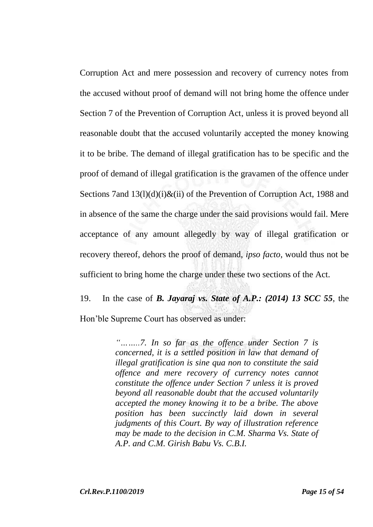Corruption Act and mere possession and recovery of currency notes from the accused without proof of demand will not bring home the offence under Section 7 of the Prevention of Corruption Act, unless it is proved beyond all reasonable doubt that the accused voluntarily accepted the money knowing it to be bribe. The demand of illegal gratification has to be specific and the proof of demand of illegal gratification is the gravamen of the offence under Sections 7and  $13(1)(d)(i)$ &(ii) of the Prevention of Corruption Act, 1988 and in absence of the same the charge under the said provisions would fail. Mere acceptance of any amount allegedly by way of illegal gratification or recovery thereof, dehors the proof of demand, *ipso facto*, would thus not be sufficient to bring home the charge under these two sections of the Act.

19. In the case of *B. Jayaraj vs. State of A.P.: (2014) 13 SCC 55*, the Hon'ble Supreme Court has observed as under:

> *"……..7. In so far as the offence under Section 7 is concerned, it is a settled position in law that demand of illegal gratification is sine qua non to constitute the said offence and mere recovery of currency notes cannot constitute the offence under Section 7 unless it is proved beyond all reasonable doubt that the accused voluntarily accepted the money knowing it to be a bribe. The above position has been succinctly laid down in several judgments of this Court. By way of illustration reference may be made to the decision in C.M. Sharma Vs. State of A.P. and C.M. Girish Babu Vs. C.B.I.*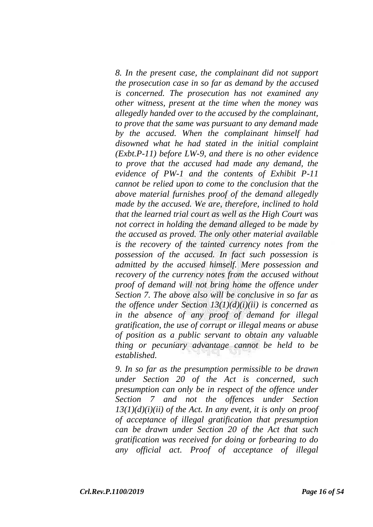*8. In the present case, the complainant did not support the prosecution case in so far as demand by the accused is concerned. The prosecution has not examined any other witness, present at the time when the money was allegedly handed over to the accused by the complainant, to prove that the same was pursuant to any demand made by the accused. When the complainant himself had disowned what he had stated in the initial complaint (Exbt.P-11) before LW-9, and there is no other evidence to prove that the accused had made any demand, the evidence of PW-1 and the contents of Exhibit P-11 cannot be relied upon to come to the conclusion that the above material furnishes proof of the demand allegedly made by the accused. We are, therefore, inclined to hold that the learned trial court as well as the High Court was not correct in holding the demand alleged to be made by the accused as proved. The only other material available is the recovery of the tainted currency notes from the possession of the accused. In fact such possession is admitted by the accused himself. Mere possession and recovery of the currency notes from the accused without proof of demand will not bring home the offence under Section 7. The above also will be conclusive in so far as the offence under Section 13(1)(d)(i)(ii) is concerned as in the absence of any proof of demand for illegal gratification, the use of corrupt or illegal means or abuse of position as a public servant to obtain any valuable thing or pecuniary advantage cannot be held to be established.*

*9. In so far as the presumption permissible to be drawn under Section 20 of the Act is concerned, such presumption can only be in respect of the offence under Section 7 and not the offences under Section 13(1)(d)(i)(ii) of the Act. In any event, it is only on proof of acceptance of illegal gratification that presumption can be drawn under Section 20 of the Act that such gratification was received for doing or forbearing to do any official act. Proof of acceptance of illegal*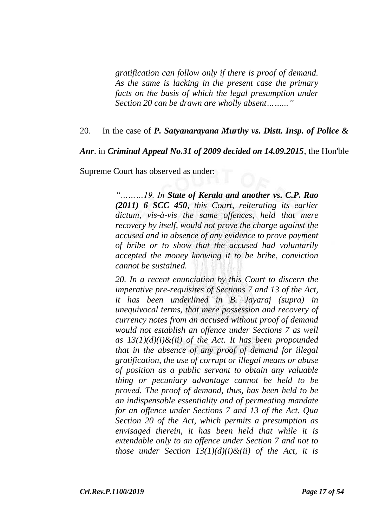*gratification can follow only if there is proof of demand. As the same is lacking in the present case the primary facts on the basis of which the legal presumption under Section 20 can be drawn are wholly absent……..."*

### 20. In the case of *P. Satyanarayana Murthy vs. Distt. Insp. of Police &*

*Anr*. in *Criminal Appeal No.31 of 2009 decided on 14.09.2015*, the Hon'ble

Supreme Court has observed as under:

*"………19. In State of Kerala and another vs. C.P. Rao (2011) 6 SCC 450, this Court, reiterating its earlier dictum, vis-à-vis the same offences, held that mere recovery by itself, would not prove the charge against the accused and in absence of any evidence to prove payment of bribe or to show that the accused had voluntarily accepted the money knowing it to be bribe, conviction cannot be sustained.*

*20. In a recent enunciation by this Court to discern the imperative pre-requisites of Sections 7 and 13 of the Act, it has been underlined in B. Jayaraj (supra) in unequivocal terms, that mere possession and recovery of currency notes from an accused without proof of demand would not establish an offence under Sections 7 as well as 13(1)(d)(i)&(ii) of the Act. It has been propounded that in the absence of any proof of demand for illegal gratification, the use of corrupt or illegal means or abuse of position as a public servant to obtain any valuable thing or pecuniary advantage cannot be held to be proved. The proof of demand, thus, has been held to be an indispensable essentiality and of permeating mandate for an offence under Sections 7 and 13 of the Act. Qua Section 20 of the Act, which permits a presumption as envisaged therein, it has been held that while it is extendable only to an offence under Section 7 and not to those under Section 13(1)(d)(i)&(ii) of the Act, it is*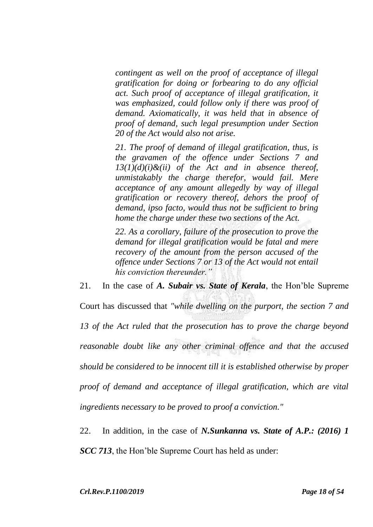*contingent as well on the proof of acceptance of illegal gratification for doing or forbearing to do any official act. Such proof of acceptance of illegal gratification, it was emphasized, could follow only if there was proof of demand. Axiomatically, it was held that in absence of proof of demand, such legal presumption under Section 20 of the Act would also not arise.*

*21. The proof of demand of illegal gratification, thus, is the gravamen of the offence under Sections 7 and 13(1)(d)(i)&(ii) of the Act and in absence thereof, unmistakably the charge therefor, would fail. Mere acceptance of any amount allegedly by way of illegal gratification or recovery thereof, dehors the proof of demand, ipso facto, would thus not be sufficient to bring home the charge under these two sections of the Act.*

*22. As a corollary, failure of the prosecution to prove the demand for illegal gratification would be fatal and mere recovery of the amount from the person accused of the offence under Sections 7 or 13 of the Act would not entail his conviction thereunder."*

21. In the case of *A. Subair vs. State of Kerala*, the Hon'ble Supreme Court has discussed that *"while dwelling on the purport, the section 7 and 13 of the Act ruled that the prosecution has to prove the charge beyond reasonable doubt like any other criminal offence and that the accused should be considered to be innocent till it is established otherwise by proper proof of demand and acceptance of illegal gratification, which are vital ingredients necessary to be proved to proof a conviction."*

22. In addition, in the case of *N.Sunkanna vs. State of A.P.: (2016) 1 SCC 713*, the Hon'ble Supreme Court has held as under: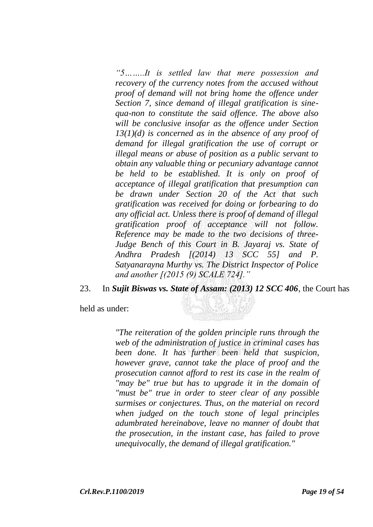*"5……..It is settled law that mere possession and recovery of the currency notes from the accused without proof of demand will not bring home the offence under Section 7, since demand of illegal gratification is sinequa-non to constitute the said offence. The above also will be conclusive insofar as the offence under Section 13(1)(d) is concerned as in the absence of any proof of demand for illegal gratification the use of corrupt or illegal means or abuse of position as a public servant to obtain any valuable thing or pecuniary advantage cannot be held to be established. It is only on proof of acceptance of illegal gratification that presumption can be drawn under Section 20 of the Act that such gratification was received for doing or forbearing to do any official act. Unless there is proof of demand of illegal gratification proof of acceptance will not follow. Reference may be made to the two decisions of three-Judge Bench of this Court in B. Jayaraj vs. State of Andhra Pradesh [(2014) 13 SCC 55] and P. Satyanarayna Murthy vs. The District Inspector of Police and another [(2015 (9) SCALE 724]."*

23. In *Sujit Biswas vs. State of Assam: (2013) 12 SCC 406*, the Court has

held as under:

*"The reiteration of the golden principle runs through the web of the administration of justice in criminal cases has been done. It has further been held that suspicion, however grave, cannot take the place of proof and the prosecution cannot afford to rest its case in the realm of "may be" true but has to upgrade it in the domain of "must be" true in order to steer clear of any possible surmises or conjectures. Thus, on the material on record when judged on the touch stone of legal principles adumbrated hereinabove, leave no manner of doubt that the prosecution, in the instant case, has failed to prove unequivocally, the demand of illegal gratification."*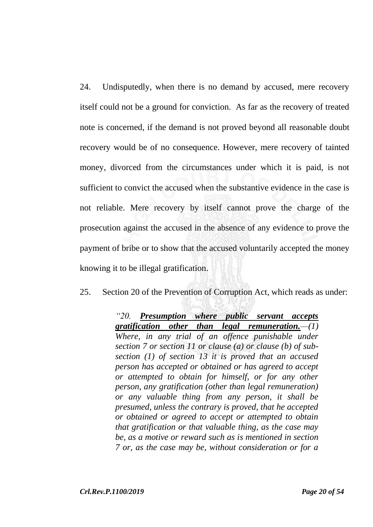24. Undisputedly, when there is no demand by accused, mere recovery itself could not be a ground for conviction. As far as the recovery of treated note is concerned, if the demand is not proved beyond all reasonable doubt recovery would be of no consequence. However, mere recovery of tainted money, divorced from the circumstances under which it is paid, is not sufficient to convict the accused when the substantive evidence in the case is not reliable. Mere recovery by itself cannot prove the charge of the prosecution against the accused in the absence of any evidence to prove the payment of bribe or to show that the accused voluntarily accepted the money knowing it to be illegal gratification.

25. Section 20 of the Prevention of Corruption Act, which reads as under:

*"20. Presumption where public servant accepts gratification other than legal remuneration.—(1) Where, in any trial of an offence punishable under section 7 or section 11 or clause (a) or clause (b) of subsection (1) of section 13 it is proved that an accused person has accepted or obtained or has agreed to accept or attempted to obtain for himself, or for any other person, any gratification (other than legal remuneration) or any valuable thing from any person, it shall be presumed, unless the contrary is proved, that he accepted or obtained or agreed to accept or attempted to obtain that gratification or that valuable thing, as the case may be, as a motive or reward such as is mentioned in section 7 or, as the case may be, without consideration or for a*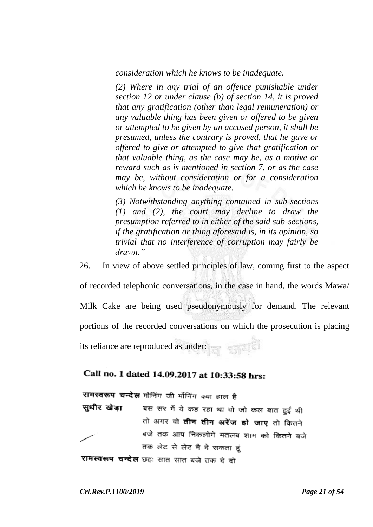*consideration which he knows to be inadequate.*

*(2) Where in any trial of an offence punishable under section 12 or under clause (b) of section 14, it is proved that any gratification (other than legal remuneration) or any valuable thing has been given or offered to be given or attempted to be given by an accused person, it shall be presumed, unless the contrary is proved, that he gave or offered to give or attempted to give that gratification or that valuable thing, as the case may be, as a motive or reward such as is mentioned in section 7, or as the case may be, without consideration or for a consideration which he knows to be inadequate.*

*(3) Notwithstanding anything contained in sub-sections (1) and (2), the court may decline to draw the presumption referred to in either of the said sub-sections, if the gratification or thing aforesaid is, in its opinion, so trivial that no interference of corruption may fairly be drawn."*

26. In view of above settled principles of law, coming first to the aspect of recorded telephonic conversations, in the case in hand, the words Mawa/ Milk Cake are being used pseudonymously for demand. The relevant portions of the recorded conversations on which the prosecution is placing its reliance are reproduced as under:

# Call no. 1 dated 14.09.2017 at 10:33:58 hrs:

रामस्वरूप चन्देख मॉनिंग जी मॉनिंग क्या हाल है

बस सर मैं ये कह रहा था वो जो कल बात हुई थी सधीर खेडा तो अगर वो **तीन तीन अरेंज हो जाए** तो कितने बजे तक आप निकलोगे मतलब शाम को कितने बजे तक लेट से लेट मै दे सकता हं **रामस्वरूप चन्देल** छहः सात सात बजे तक दे दो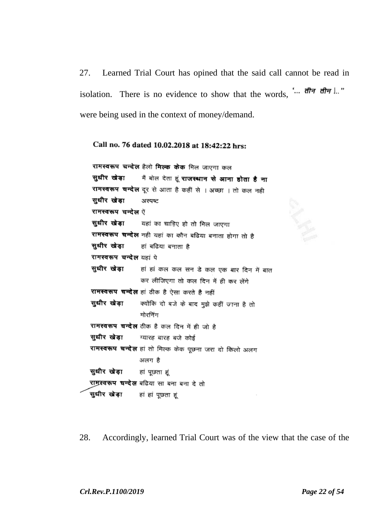27. Learned Trial Court has opined that the said call cannot be read in isolation. There is no evidence to show that the words, "...  $d\vec{r}$   $d\vec{r}$   $d\vec{r}$   $d\vec{r}$   $d\vec{r}$   $d\vec{r}$ were being used in the context of money/demand.

### Call no. 76 dated 10.02.2018 at 18:42:22 hrs:

रामस्वरूप चन्देल हैलो मिल्क केक मिल जाएगा कल सधीर खेडा मैं बोल देता हूं **राजस्थान से आना होता है ना** रामस्वरूप चन्देल दूर से आता है कहीं से । अच्छा । तो कल नही सुधीर खेड़ा अस्पष्ट रामस्वरूप चन्देल ऍ सुधीर खेडा यहां का चाहिए हो तो मिल जाएगा रामस्वरूप चन्देल नही यहां का कौन बढिया बनाता होगा तो है सधीर खेडा हां बढिया बनाता है रामस्वरूप चन्देल यहां पे सुधीर खेड़ा हां हां कल कल सन डे कल एक बार दिन में बात कर लीजिएगा तो कल दिन में ही कर लेंगे **रामस्वरूप चन्देल** हां ठीक है ऐसा करते है नहीं सुधीर खेड़ा क्योंकि दो बजे के बाद मुझे कहीं जाना है तो मोरनिंग रामस्वरूप चन्देल ठीक है कल दिन में ही जो है सुधीर खेड़ा ग्यारह बारह बजे कोई रामस्वरूप चन्देल हां तो मिल्क केक पूछना जरा दो किलो अलग अलग है सुधीर खेड़ा हां पूछता हूं रामस्वरूप चन्देल बढिया सा बना बना दे तो सुधीर खेड़ा हां हां पूछता हूं

28. Accordingly, learned Trial Court was of the view that the case of the

*Crl.Rev.P.1100/2019 Page 22 of 54*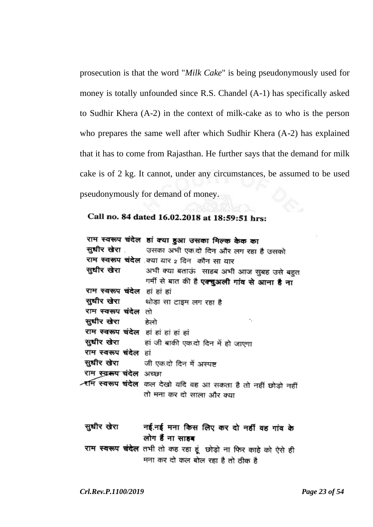prosecution is that the word "*Milk Cake*" is being pseudonymously used for money is totally unfounded since R.S. Chandel (A-1) has specifically asked to Sudhir Khera (A-2) in the context of milk-cake as to who is the person who prepares the same well after which Sudhir Khera (A-2) has explained that it has to come from Rajasthan. He further says that the demand for milk cake is of 2 kg. It cannot, under any circumstances, be assumed to be used pseudonymously for demand of money.

### Call no. 84 dated 16.02.2018 at 18:59:51 hrs:

|                                      | राम स्वरूप चंदेल हां क्या हुआ उसका मिल्क केक का                       |
|--------------------------------------|-----------------------------------------------------------------------|
|                                      | सुधीर खेरा उसका अभी एक दो दिन और लग रहा है उसको                       |
|                                      | राम स्वरूप चंदेल क्या यार 2 दिन कौन सा यार                            |
|                                      | <b>सुधीर खेरा</b> अभी क्या बताऊं  साहब अभी आज सुबह उसे बहुत           |
|                                      | गर्मी से बात की है <b>एक्चुअली गांव से आना है ना</b>                  |
| राम स्वरूप चंदेल हां हां हां         |                                                                       |
|                                      | <b>सुधीर खेरा</b> थोड़ा सा टाइम लग रहा है                             |
| राम स्वरूप चंदेल तो                  |                                                                       |
| <b>सुधीर खेरा</b> हेलो               | ٠.                                                                    |
| राम स्वरूप चंदेल हां हां हां हां हां |                                                                       |
|                                      | <b>सुधीर खेरा</b> हां जी बाकी एक दो दिन में हो जाएगा                  |
| राम स्वरूप चंदेल हां                 |                                                                       |
|                                      | <b>सुधीर खेरा</b> जी एकदो दिन में अस्पष्ट                             |
| राम स्वरूप चंदेल अच्छा               |                                                                       |
|                                      | <b>र्राम स्वरूप चंदेल</b> कल देखो यदि वह आ सकता है तो नहीं छोड़ो नहीं |
|                                      | तो मना कर दो साला और क्या                                             |

सुधीर खेरा नई.नई मना किस लिए कर दो नहीं वह गांव के लोग हैं ना साहब राम स्वरूप चंदेल तभी तो कह रहा हूं छोड़ो ना फिर काहे को ऐसे ही

मना कर दो कल बोल रहा है तो ठीक है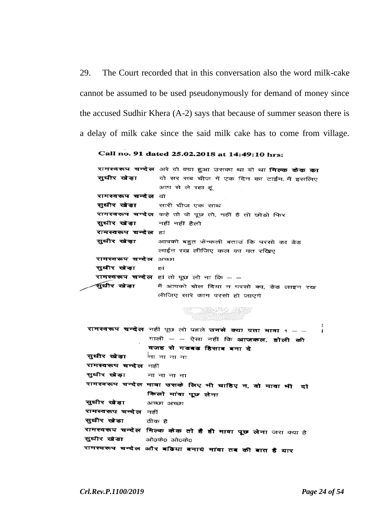29. The Court recorded that in this conversation also the word milk-cake cannot be assumed to be used pseudonymously for demand of money since the accused Sudhir Khera (A-2) says that because of summer season there is a delay of milk cake since the said milk cake has to come from village.

#### Call no. 91 dated 25.02.2018 at 14:49:10 hrs:

|                                   | रामस्वरूप चन्देल अरे वो क्या हुआ उसका था वो था मिल्क केक का   |
|-----------------------------------|---------------------------------------------------------------|
|                                   | <b>सुधीर खेड़ा</b> वो सर सब चीज में एक दिन का टाईम. मैं इसलिए |
|                                   | आप से ले रहा हूं                                              |
| <b>रामस्वरूप चन्देल</b> वो        |                                                               |
|                                   | <b>सुधीर खेड़ा</b> सारी चीज एक साथ                            |
|                                   | रामस्वरूप चन्देल कहे तो वो पूछ तो, नहीं है तो छोड़ो फिर       |
| <b>सुधीर खेड़ा</b> नहीं नहीं हैलो |                                                               |
| <b>रामस्वरूप चन्देल</b> हां       |                                                               |
|                                   | <b>सुधीर खेड़ा</b> आपको बहुत फेंन्कली बताउं कि परसो का डेड    |
|                                   | लाईन रख लीजिए कल का मत रखिए                                   |
| <b>रामस्वरूप चन्देल</b> अच्छा     |                                                               |
| सुधीर खेडा<br>हां                 |                                                               |
|                                   | रामस्वरूप चन्देल हां तो पूछ लो ना कि - -                      |
|                                   | <b>सुधीर खेड़ा</b> मैं आपको बोल दिया न परसो का, डेड लाइन रख   |
|                                   | लीजिए सारे काम परसो हो जाएगे                                  |

# **Report of the Second Party**

रामस्वरूप चन्देल नहीं पूछ लो पहले उनसे क्या पता मावा 1 - -गाली – – ऐसा नहीं कि **आजकल, होली की** वजह से गडबड हिसाब बना दे नानानामा सुधीर खेड़ा रामस्वरूप चन्देल नहीं सधीर खेडा नानानाना रामस्वरूप चन्देल मावा उसके लिए भी चाहिए न, वो मावा भी दो किलो मांवा पूछ लेना सुधीर खेड़ा अच्छा अच्छा रामस्वरूप चन्देल नहीं सुधीर खेडा ठीक है रामस्वरूप चन्देल मिल्क केक तो है ही मावा पूछ लेना जरा क्या है सुधीर खेडा ओ0के0 ओ0के0 रामस्वरूप चन्देल और बढिया बनाये मांवा तब की बात है यार

 $\mathbf{f}$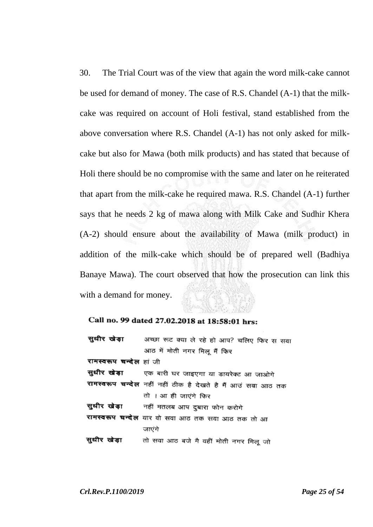30. The Trial Court was of the view that again the word milk-cake cannot be used for demand of money. The case of R.S. Chandel (A-1) that the milkcake was required on account of Holi festival, stand established from the above conversation where R.S. Chandel (A-1) has not only asked for milkcake but also for Mawa (both milk products) and has stated that because of Holi there should be no compromise with the same and later on he reiterated that apart from the milk-cake he required mawa. R.S. Chandel (A-1) further says that he needs 2 kg of mawa along with Milk Cake and Sudhir Khera (A-2) should ensure about the availability of Mawa (milk product) in addition of the milk-cake which should be of prepared well (Badhiya Banaye Mawa). The court observed that how the prosecution can link this with a demand for money.

#### Call no. 99 dated 27.02.2018 at 18:58:01 hrs:

|                         | <b>सुधीर खेड़ा</b> अच्छा रूट क्या ले रहे हो आप? चलिए फिर स सवा |
|-------------------------|----------------------------------------------------------------|
|                         | आठ में मोती नगर मिलू मैं फिर                                   |
| रामस्वरूप चन्देल हां जी |                                                                |
|                         | <b>सुधीर खेड़ा</b> एक बारी घर जाइएगा या डायरेक्ट आ जाओगे       |
|                         | रामस्वरूप चन्देल नहीं नहीं ठीक है देखते है मैं आउं सवा आठ तक   |
|                         | तो । आ ही जाएंगे फिर                                           |
|                         | <b>सुधीर खेड़ा</b> नहीं मतलब आप दुबारा फोन करोगे               |
|                         | रामस्वरूप घन्देल यार वो सवा आठ तक सवा आठ तक तो आ               |
|                         | जाएंगे                                                         |
|                         | <b>सुधीर खेड़ा</b> तो सवा आठ बजे मै वहीं मोती नगर मिलू जो      |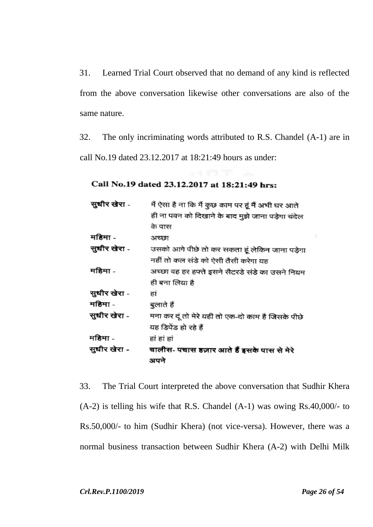31. Learned Trial Court observed that no demand of any kind is reflected from the above conversation likewise other conversations are also of the same nature.

32. The only incriminating words attributed to R.S. Chandel (A-1) are in call No.19 dated 23.12.2017 at 18:21:49 hours as under:

# Call No.19 dated 23.12.2017 at 18:21:49 hrs:

| सुधीर खेरा - | मैं ऐसा है ना कि मैं कुछ काम पर हूं मैं अभी घर आते |
|--------------|----------------------------------------------------|
|              | ही ना पवन को दिखाने के बाद मुझे जाना पड़ेगा चंदेल  |
|              | के पास                                             |
| महिमा -      | अच्छा                                              |
| सुधीर खेरा - | उसको आगे पीछे तो कर सकता हूं लेकिन जाना पड़ेगा     |
|              | नहीं तो कल संडे को ऐसी तैसी करेगा यह               |
| महिमा -      | अच्छा वह हर हफ्ते इसने सैटरडे संडे का उसने नियम    |
|              | ही बना लिया है                                     |
| सुधीर खेरा - | हां                                                |
| महिमा -      | बुलाते हैं                                         |
| सुधीर खेरा - | मना कर दूं तो मेरे यही तो एक-दो काम है जिसके पीछे  |
|              | यह डिपेंड हो रहे हैं                               |
| महिमा -      | हां हां हां                                        |
| सुधीर खेरा - | चालीस- पचास हज़ार आते हैं इसके पास से मेरे         |
|              | अपने                                               |

33. The Trial Court interpreted the above conversation that Sudhir Khera (A-2) is telling his wife that R.S. Chandel (A-1) was owing Rs.40,000/- to Rs.50,000/- to him (Sudhir Khera) (not vice-versa). However, there was a normal business transaction between Sudhir Khera (A-2) with Delhi Milk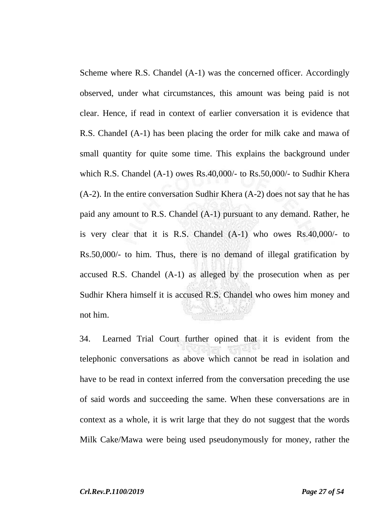Scheme where R.S. Chandel (A-1) was the concerned officer. Accordingly observed, under what circumstances, this amount was being paid is not clear. Hence, if read in context of earlier conversation it is evidence that R.S. ChandeI (A-1) has been placing the order for milk cake and mawa of small quantity for quite some time. This explains the background under which R.S. Chandel (A-1) owes Rs.40,000/- to Rs.50,000/- to Sudhir Khera (A-2). In the entire conversation Sudhir Khera (A-2) does not say that he has paid any amount to R.S. Chandel (A-1) pursuant to any demand. Rather, he is very clear that it is R.S. Chandel (A-1) who owes Rs.40,000/- to Rs.50,000/- to him. Thus, there is no demand of illegal gratification by accused R.S. Chandel (A-1) as alleged by the prosecution when as per Sudhir Khera himself it is accused R.S. Chandel who owes him money and not him.

34. Learned Trial Court further opined that it is evident from the telephonic conversations as above which cannot be read in isolation and have to be read in context inferred from the conversation preceding the use of said words and succeeding the same. When these conversations are in context as a whole, it is writ large that they do not suggest that the words Milk Cake/Mawa were being used pseudonymously for money, rather the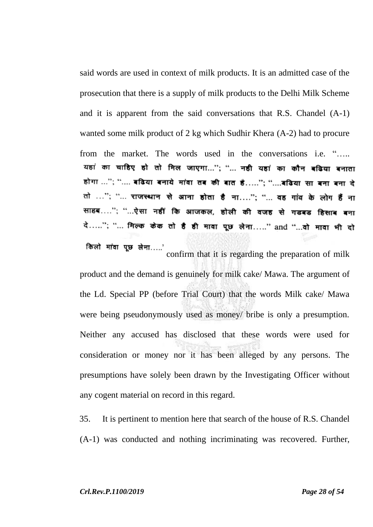said words are used in context of milk products. It is an admitted case of the prosecution that there is a supply of milk products to the Delhi Milk Scheme and it is apparent from the said conversations that R.S. Chandel (A-1) wanted some milk product of 2 kg which Sudhir Khera (A-2) had to procure from the market. The words used in the conversations i.e. ".... यहां का चाहिए हो तो मिल जाएगा..."; "... नही यहां का कौन बढिया बनाता होगा ..."; ".... बढिया बनाये मांवा तब की बात है......"; "....बढिया सा बना बना दे तो ..."; "... राजस्थान से आना होता है ना...."; "... वह गांव के लोग हैं ना साहब…."; "…ऐसा नहीं कि आजकल, होली की वजह से गडबड हिसाब बना दे....."; "... मिल्क केक तो है ही मावा पूछ लेना....." and "...वो मावा भी दो किलो मांवा पूछ लेना.....'

confirm that it is regarding the preparation of milk product and the demand is genuinely for milk cake/ Mawa. The argument of the Ld. Special PP (before Trial Court) that the words Milk cake/ Mawa were being pseudonymously used as money/ bribe is only a presumption. Neither any accused has disclosed that these words were used for consideration or money nor it has been alleged by any persons. The presumptions have solely been drawn by the Investigating Officer without any cogent material on record in this regard.

35. It is pertinent to mention here that search of the house of R.S. Chandel (A-1) was conducted and nothing incriminating was recovered. Further,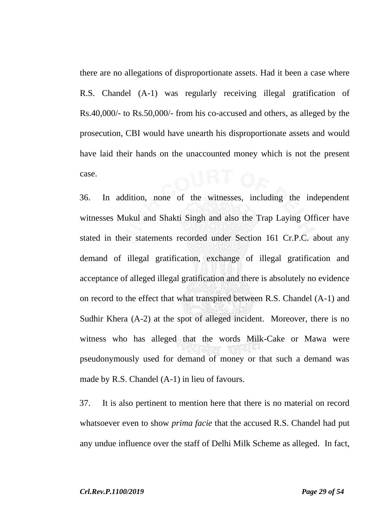there are no allegations of disproportionate assets. Had it been a case where R.S. Chandel (A-1) was regularly receiving illegal gratification of Rs.40,000/- to Rs.50,000/- from his co-accused and others, as alleged by the prosecution, CBI would have unearth his disproportionate assets and would have laid their hands on the unaccounted money which is not the present case.

36. In addition, none of the witnesses, including the independent witnesses Mukul and Shakti Singh and also the Trap Laying Officer have stated in their statements recorded under Section 161 Cr.P.C. about any demand of illegal gratification, exchange of illegal gratification and acceptance of alleged illegal gratification and there is absolutely no evidence on record to the effect that what transpired between R.S. Chandel (A-1) and Sudhir Khera (A-2) at the spot of alleged incident. Moreover, there is no witness who has alleged that the words Milk-Cake or Mawa were pseudonymously used for demand of money or that such a demand was made by R.S. Chandel (A-1) in lieu of favours.

37. It is also pertinent to mention here that there is no material on record whatsoever even to show *prima facie* that the accused R.S. Chandel had put any undue influence over the staff of Delhi Milk Scheme as alleged. In fact,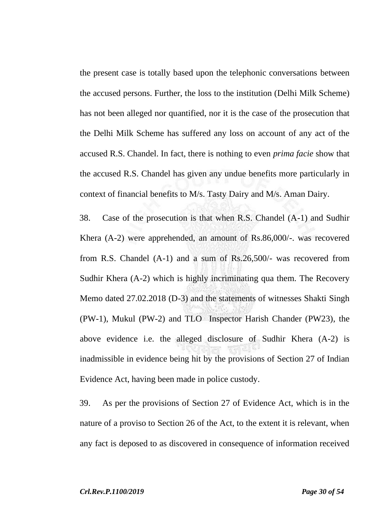the present case is totally based upon the telephonic conversations between the accused persons. Further, the loss to the institution (Delhi Milk Scheme) has not been alleged nor quantified, nor it is the case of the prosecution that the Delhi Milk Scheme has suffered any loss on account of any act of the accused R.S. Chandel. In fact, there is nothing to even *prima facie* show that the accused R.S. Chandel has given any undue benefits more particularly in context of financial benefits to M/s. Tasty Dairy and M/s. Aman Dairy.

38. Case of the prosecution is that when R.S. Chandel (A-1) and Sudhir Khera (A-2) were apprehended, an amount of Rs.86,000/-. was recovered from R.S. Chandel (A-1) and a sum of Rs.26,500/- was recovered from Sudhir Khera (A-2) which is highly incriminating qua them. The Recovery Memo dated 27.02.2018 (D-3) and the statements of witnesses Shakti Singh (PW-1), Mukul (PW-2) and TLO Inspector Harish Chander (PW23), the above evidence i.e. the alleged disclosure of Sudhir Khera (A-2) is inadmissible in evidence being hit by the provisions of Section 27 of Indian Evidence Act, having been made in police custody.

39. As per the provisions of Section 27 of Evidence Act, which is in the nature of a proviso to Section 26 of the Act, to the extent it is relevant, when any fact is deposed to as discovered in consequence of information received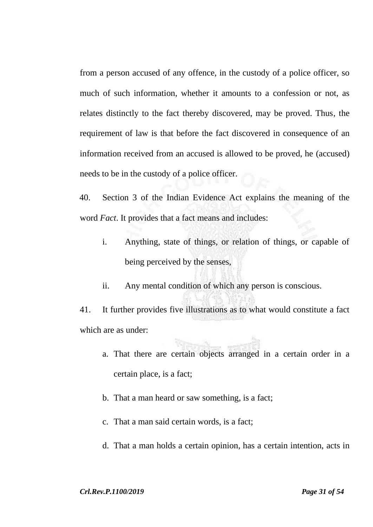from a person accused of any offence, in the custody of a police officer, so much of such information, whether it amounts to a confession or not, as relates distinctly to the fact thereby discovered, may be proved. Thus, the requirement of law is that before the fact discovered in consequence of an information received from an accused is allowed to be proved, he (accused) needs to be in the custody of a police officer.

40. Section 3 of the Indian Evidence Act explains the meaning of the word *Fact*. It provides that a fact means and includes:

- i. Anything, state of things, or relation of things, or capable of being perceived by the senses,
- ii. Any mental condition of which any person is conscious.

41. It further provides five illustrations as to what would constitute a fact which are as under:

- a. That there are certain objects arranged in a certain order in a certain place, is a fact;
- b. That a man heard or saw something, is a fact;
- c. That a man said certain words, is a fact;
- d. That a man holds a certain opinion, has a certain intention, acts in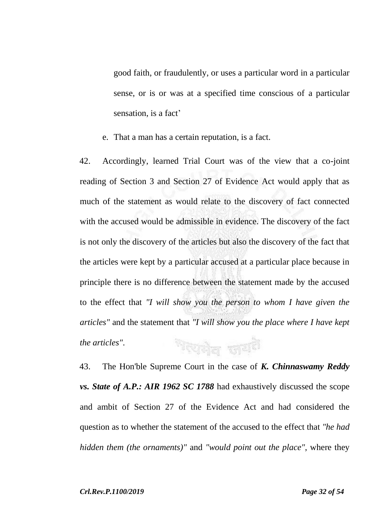good faith, or fraudulently, or uses a particular word in a particular sense, or is or was at a specified time conscious of a particular sensation, is a fact'

e. That a man has a certain reputation, is a fact.

42. Accordingly, learned Trial Court was of the view that a co-joint reading of Section 3 and Section 27 of Evidence Act would apply that as much of the statement as would relate to the discovery of fact connected with the accused would be admissible in evidence. The discovery of the fact is not only the discovery of the articles but also the discovery of the fact that the articles were kept by a particular accused at a particular place because in principle there is no difference between the statement made by the accused to the effect that *"I will show you the person to whom I have given the articles"* and the statement that *"I will show you the place where I have kept*  শহন্যনীল জাত্মই *the articles"*.

43. The Hon'ble Supreme Court in the case of *K. Chinnaswamy Reddy vs. State of A.P.: AIR 1962 SC 1788* had exhaustively discussed the scope and ambit of Section 27 of the Evidence Act and had considered the question as to whether the statement of the accused to the effect that *"he had hidden them (the ornaments)"* and *"would point out the place"*, where they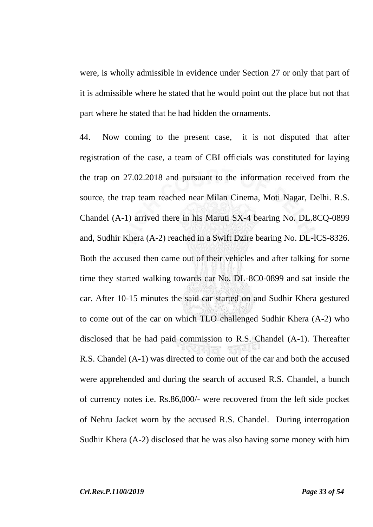were, is wholly admissible in evidence under Section 27 or only that part of it is admissible where he stated that he would point out the place but not that part where he stated that he had hidden the ornaments.

44. Now coming to the present case, it is not disputed that after registration of the case, a team of CBI officials was constituted for laying the trap on 27.02.2018 and pursuant to the information received from the source, the trap team reached near Milan Cinema, Moti Nagar, Delhi. R.S. Chandel (A-1) arrived there in his Maruti SX-4 bearing No. DL.8CQ-0899 and, Sudhir Khera (A-2) reached in a Swift Dzire bearing No. DL-lCS-8326. Both the accused then came out of their vehicles and after talking for some time they started walking towards car No. DL-8C0-0899 and sat inside the car. After 10-15 minutes the said car started on and Sudhir Khera gestured to come out of the car on which TLO challenged Sudhir Khera (A-2) who disclosed that he had paid commission to R.S. Chandel (A-1). Thereafter R.S. Chandel (A-1) was directed to come out of the car and both the accused were apprehended and during the search of accused R.S. Chandel, a bunch of currency notes i.e. Rs.86,000/- were recovered from the left side pocket of Nehru Jacket worn by the accused R.S. Chandel. During interrogation Sudhir Khera (A-2) disclosed that he was also having some money with him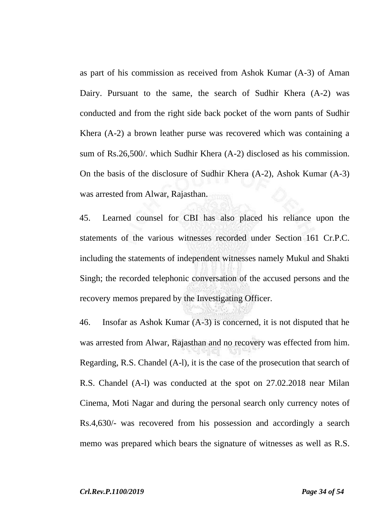as part of his commission as received from Ashok Kumar (A-3) of Aman Dairy. Pursuant to the same, the search of Sudhir Khera (A-2) was conducted and from the right side back pocket of the worn pants of Sudhir Khera (A-2) a brown leather purse was recovered which was containing a sum of Rs.26,500/. which Sudhir Khera (A-2) disclosed as his commission. On the basis of the disclosure of Sudhir Khera (A-2), Ashok Kumar (A-3) was arrested from Alwar, Rajasthan.

45. Learned counsel for CBI has also placed his reliance upon the statements of the various witnesses recorded under Section 161 Cr.P.C. including the statements of independent witnesses namely Mukul and Shakti Singh; the recorded telephonic conversation of the accused persons and the recovery memos prepared by the Investigating Officer.

46. Insofar as Ashok Kumar (A-3) is concerned, it is not disputed that he was arrested from Alwar, Rajasthan and no recovery was effected from him. Regarding, R.S. Chandel (A-l), it is the case of the prosecution that search of R.S. Chandel (A-l) was conducted at the spot on 27.02.2018 near Milan Cinema, Moti Nagar and during the personal search only currency notes of Rs.4,630/- was recovered from his possession and accordingly a search memo was prepared which bears the signature of witnesses as well as R.S.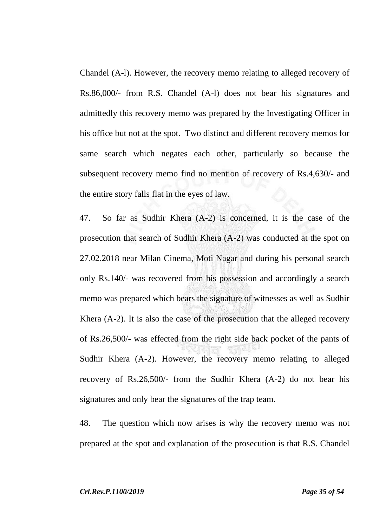Chandel (A-l). However, the recovery memo relating to alleged recovery of Rs.86,000/- from R.S. Chandel (A-l) does not bear his signatures and admittedly this recovery memo was prepared by the Investigating Officer in his office but not at the spot. Two distinct and different recovery memos for same search which negates each other, particularly so because the subsequent recovery memo find no mention of recovery of Rs.4,630/- and the entire story falls flat in the eyes of law.

47. So far as Sudhir Khera (A-2) is concerned, it is the case of the prosecution that search of Sudhir Khera (A-2) was conducted at the spot on 27.02.2018 near Milan Cinema, Moti Nagar and during his personal search only Rs.140/- was recovered from his possession and accordingly a search memo was prepared which bears the signature of witnesses as well as Sudhir Khera (A-2). It is also the case of the prosecution that the alleged recovery of Rs.26,500/- was effected from the right side back pocket of the pants of Sudhir Khera (A-2). However, the recovery memo relating to alleged recovery of Rs.26,500/- from the Sudhir Khera (A-2) do not bear his signatures and only bear the signatures of the trap team.

48. The question which now arises is why the recovery memo was not prepared at the spot and explanation of the prosecution is that R.S. Chandel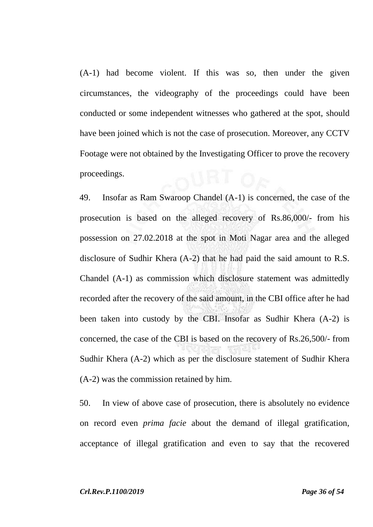(A-1) had become violent. If this was so, then under the given circumstances, the videography of the proceedings could have been conducted or some independent witnesses who gathered at the spot, should have been joined which is not the case of prosecution. Moreover, any CCTV Footage were not obtained by the Investigating Officer to prove the recovery proceedings.

49. Insofar as Ram Swaroop Chandel (A-1) is concerned, the case of the prosecution is based on the alleged recovery of Rs.86,000/- from his possession on 27.02.2018 at the spot in Moti Nagar area and the alleged disclosure of Sudhir Khera (A-2) that he had paid the said amount to R.S. Chandel (A-1) as commission which disclosure statement was admittedly recorded after the recovery of the said amount, in the CBI office after he had been taken into custody by the CBI. Insofar as Sudhir Khera (A-2) is concerned, the case of the CBI is based on the recovery of Rs.26,500/- from Sudhir Khera (A-2) which as per the disclosure statement of Sudhir Khera (A-2) was the commission retained by him.

50. In view of above case of prosecution, there is absolutely no evidence on record even *prima facie* about the demand of illegal gratification, acceptance of illegal gratification and even to say that the recovered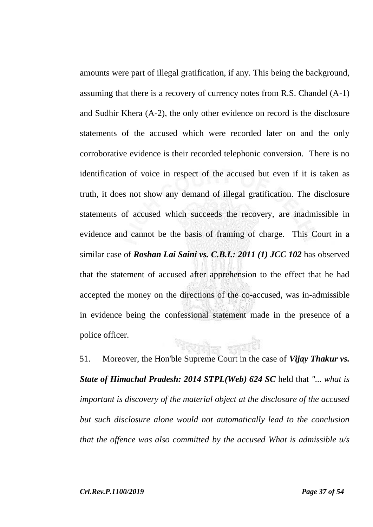amounts were part of illegal gratification, if any. This being the background, assuming that there is a recovery of currency notes from R.S. Chandel (A-1) and Sudhir Khera (A-2), the only other evidence on record is the disclosure statements of the accused which were recorded later on and the only corroborative evidence is their recorded telephonic conversion. There is no identification of voice in respect of the accused but even if it is taken as truth, it does not show any demand of illegal gratification. The disclosure statements of accused which succeeds the recovery, are inadmissible in evidence and cannot be the basis of framing of charge. This Court in a similar case of *Roshan Lai Saini vs. C.B.I.: 2011 (1) JCC 102* has observed that the statement of accused after apprehension to the effect that he had accepted the money on the directions of the co-accused, was in-admissible in evidence being the confessional statement made in the presence of a police officer.

51. Moreover, the Hon'ble Supreme Court in the case of *Vijay Thakur vs. State of Himachal Pradesh: 2014 STPL(Web) 624 SC* held that *"... what is important is discovery of the material object at the disclosure of the accused but such disclosure alone would not automatically lead to the conclusion that the offence was also committed by the accused What is admissible u/s*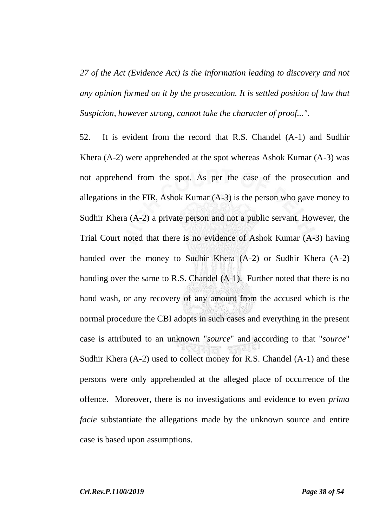*27 of the Act (Evidence Act) is the information leading to discovery and not any opinion formed on it by the prosecution. It is settled position of law that Suspicion, however strong, cannot take the character of proof..."*.

52. It is evident from the record that R.S. Chandel (A-1) and Sudhir Khera (A-2) were apprehended at the spot whereas Ashok Kumar (A-3) was not apprehend from the spot. As per the case of the prosecution and allegations in the FIR, Ashok Kumar (A-3) is the person who gave money to Sudhir Khera (A-2) a private person and not a public servant. However, the Trial Court noted that there is no evidence of Ashok Kumar (A-3) having handed over the money to Sudhir Khera (A-2) or Sudhir Khera (A-2) handing over the same to R.S. Chandel (A-1). Further noted that there is no hand wash, or any recovery of any amount from the accused which is the normal procedure the CBI adopts in such cases and everything in the present case is attributed to an unknown "*source*" and according to that "*source*" Sudhir Khera (A-2) used to collect money for R.S. Chandel (A-1) and these persons were only apprehended at the alleged place of occurrence of the offence. Moreover, there is no investigations and evidence to even *prima facie* substantiate the allegations made by the unknown source and entire case is based upon assumptions.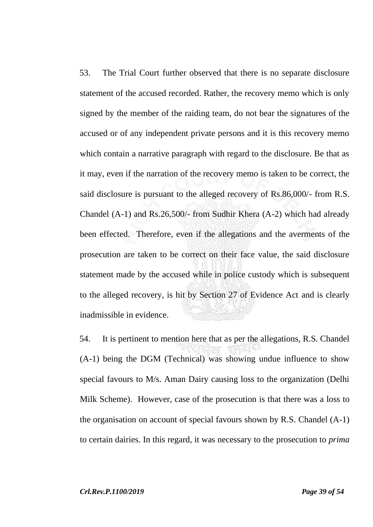53. The Trial Court further observed that there is no separate disclosure statement of the accused recorded. Rather, the recovery memo which is only signed by the member of the raiding team, do not bear the signatures of the accused or of any independent private persons and it is this recovery memo which contain a narrative paragraph with regard to the disclosure. Be that as it may, even if the narration of the recovery memo is taken to be correct, the said disclosure is pursuant to the alleged recovery of Rs.86,000/- from R.S. Chandel (A-1) and Rs.26,500/- from Sudhir Khera (A-2) which had already been effected. Therefore, even if the allegations and the averments of the prosecution are taken to be correct on their face value, the said disclosure statement made by the accused while in police custody which is subsequent to the alleged recovery, is hit by Section 27 of Evidence Act and is clearly inadmissible in evidence.

54. It is pertinent to mention here that as per the allegations, R.S. Chandel (A-1) being the DGM (Technical) was showing undue influence to show special favours to M/s. Aman Dairy causing loss to the organization (Delhi Milk Scheme). However, case of the prosecution is that there was a loss to the organisation on account of special favours shown by R.S. Chandel (A-1) to certain dairies. In this regard, it was necessary to the prosecution to *prima*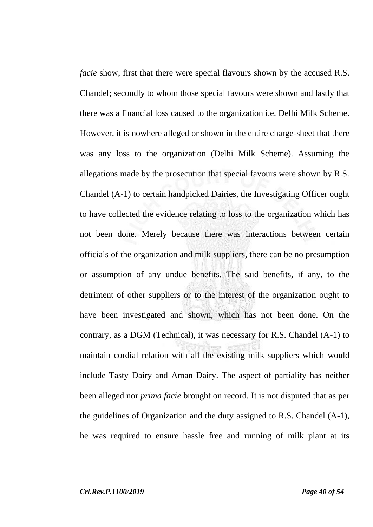*facie* show, first that there were special flavours shown by the accused R.S. Chandel; secondly to whom those special favours were shown and lastly that there was a financial loss caused to the organization i.e. Delhi Milk Scheme. However, it is nowhere alleged or shown in the entire charge-sheet that there was any loss to the organization (Delhi Milk Scheme). Assuming the allegations made by the prosecution that special favours were shown by R.S. Chandel (A-1) to certain handpicked Dairies, the Investigating Officer ought to have collected the evidence relating to loss to the organization which has not been done. Merely because there was interactions between certain officials of the organization and milk suppliers, there can be no presumption or assumption of any undue benefits. The said benefits, if any, to the detriment of other suppliers or to the interest of the organization ought to have been investigated and shown, which has not been done. On the contrary, as a DGM (Technical), it was necessary for R.S. Chandel (A-1) to maintain cordial relation with all the existing milk suppliers which would include Tasty Dairy and Aman Dairy. The aspect of partiality has neither been alleged nor *prima facie* brought on record. It is not disputed that as per the guidelines of Organization and the duty assigned to R.S. Chandel (A-1), he was required to ensure hassle free and running of milk plant at its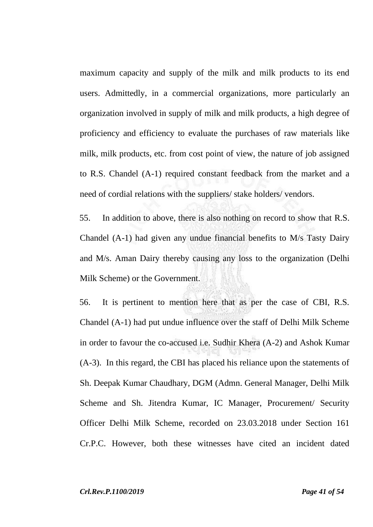maximum capacity and supply of the milk and milk products to its end users. Admittedly, in a commercial organizations, more particularly an organization involved in supply of milk and milk products, a high degree of proficiency and efficiency to evaluate the purchases of raw materials like milk, milk products, etc. from cost point of view, the nature of job assigned to R.S. Chandel (A-1) required constant feedback from the market and a need of cordial relations with the suppliers/ stake holders/ vendors.

55. In addition to above, there is also nothing on record to show that R.S. Chandel (A-1) had given any undue financial benefits to M/s Tasty Dairy and M/s. Aman Dairy thereby causing any loss to the organization (Delhi Milk Scheme) or the Government.

56. It is pertinent to mention here that as per the case of CBI, R.S. Chandel (A-1) had put undue influence over the staff of Delhi Milk Scheme in order to favour the co-accused i.e. Sudhir Khera (A-2) and Ashok Kumar (A-3). In this regard, the CBI has placed his reliance upon the statements of Sh. Deepak Kumar Chaudhary, DGM (Admn. General Manager, Delhi Milk Scheme and Sh. Jitendra Kumar, IC Manager, Procurement/ Security Officer Delhi Milk Scheme, recorded on 23.03.2018 under Section 161 Cr.P.C. However, both these witnesses have cited an incident dated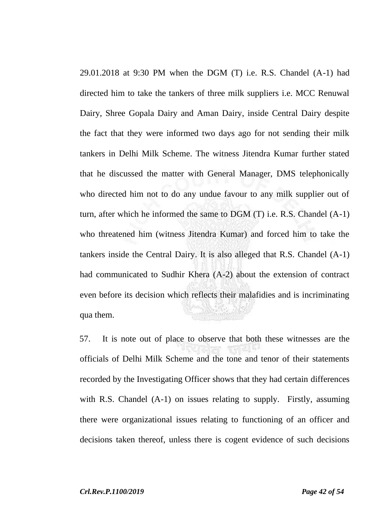29.01.2018 at 9:30 PM when the DGM (T) i.e. R.S. Chandel (A-1) had directed him to take the tankers of three milk suppliers i.e. MCC Renuwal Dairy, Shree Gopala Dairy and Aman Dairy, inside Central Dairy despite the fact that they were informed two days ago for not sending their milk tankers in Delhi Milk Scheme. The witness Jitendra Kumar further stated that he discussed the matter with General Manager, DMS telephonically who directed him not to do any undue favour to any milk supplier out of turn, after which he informed the same to DGM (T) i.e. R.S. Chandel (A-1) who threatened him (witness Jitendra Kumar) and forced him to take the tankers inside the Central Dairy. It is also alleged that R.S. Chandel (A-1) had communicated to Sudhir Khera (A-2) about the extension of contract even before its decision which reflects their malafidies and is incriminating qua them.

57. It is note out of place to observe that both these witnesses are the officials of Delhi Milk Scheme and the tone and tenor of their statements recorded by the Investigating Officer shows that they had certain differences with R.S. Chandel (A-1) on issues relating to supply. Firstly, assuming there were organizational issues relating to functioning of an officer and decisions taken thereof, unless there is cogent evidence of such decisions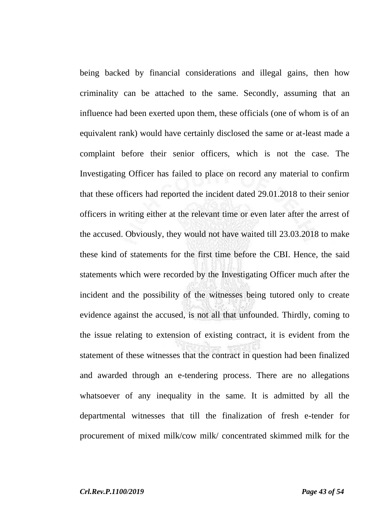being backed by financial considerations and illegal gains, then how criminality can be attached to the same. Secondly, assuming that an influence had been exerted upon them, these officials (one of whom is of an equivalent rank) would have certainly disclosed the same or at-least made a complaint before their senior officers, which is not the case. The Investigating Officer has failed to place on record any material to confirm that these officers had reported the incident dated 29.01.2018 to their senior officers in writing either at the relevant time or even later after the arrest of the accused. Obviously, they would not have waited till 23.03.2018 to make these kind of statements for the first time before the CBI. Hence, the said statements which were recorded by the Investigating Officer much after the incident and the possibility of the witnesses being tutored only to create evidence against the accused, is not all that unfounded. Thirdly, coming to the issue relating to extension of existing contract, it is evident from the statement of these witnesses that the contract in question had been finalized and awarded through an e-tendering process. There are no allegations whatsoever of any inequality in the same. It is admitted by all the departmental witnesses that till the finalization of fresh e-tender for procurement of mixed milk/cow milk/ concentrated skimmed milk for the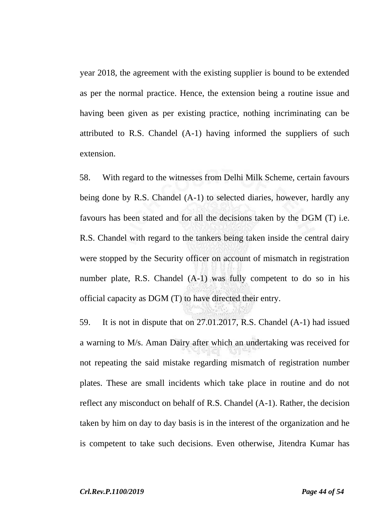year 2018, the agreement with the existing supplier is bound to be extended as per the normal practice. Hence, the extension being a routine issue and having been given as per existing practice, nothing incriminating can be attributed to R.S. Chandel (A-1) having informed the suppliers of such extension.

58. With regard to the witnesses from Delhi Milk Scheme, certain favours being done by R.S. Chandel (A-1) to selected diaries, however, hardly any favours has been stated and for all the decisions taken by the DGM (T) i.e. R.S. Chandel with regard to the tankers being taken inside the central dairy were stopped by the Security officer on account of mismatch in registration number plate, R.S. Chandel (A-1) was fully competent to do so in his official capacity as DGM (T) to have directed their entry.

59. It is not in dispute that on 27.01.2017, R.S. Chandel (A-1) had issued a warning to M/s. Aman Dairy after which an undertaking was received for not repeating the said mistake regarding mismatch of registration number plates. These are small incidents which take place in routine and do not reflect any misconduct on behalf of R.S. Chandel (A-1). Rather, the decision taken by him on day to day basis is in the interest of the organization and he is competent to take such decisions. Even otherwise, Jitendra Kumar has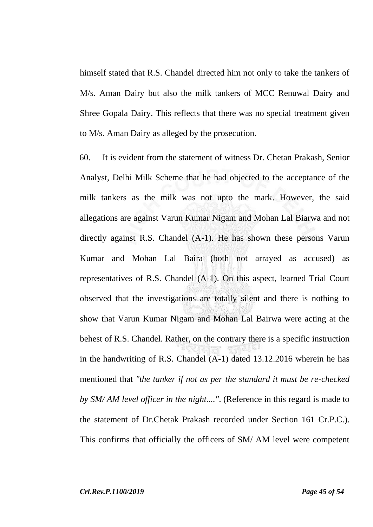himself stated that R.S. Chandel directed him not only to take the tankers of M/s. Aman Dairy but also the milk tankers of MCC Renuwal Dairy and Shree Gopala Dairy. This reflects that there was no special treatment given to M/s. Aman Dairy as alleged by the prosecution.

60. It is evident from the statement of witness Dr. Chetan Prakash, Senior Analyst, Delhi Milk Scheme that he had objected to the acceptance of the milk tankers as the milk was not upto the mark. However, the said allegations are against Varun Kumar Nigam and Mohan Lal Biarwa and not directly against R.S. Chandel (A-1). He has shown these persons Varun Kumar and Mohan Lal Baira (both not arrayed as accused) as representatives of R.S. Chandel (A-1). On this aspect, learned Trial Court observed that the investigations are totally silent and there is nothing to show that Varun Kumar Nigam and Mohan Lal Bairwa were acting at the behest of R.S. Chandel. Rather, on the contrary there is a specific instruction in the handwriting of R.S. Chandel (A-1) dated 13.12.2016 wherein he has mentioned that *"the tanker if not as per the standard it must be re-checked by SM/ AM level officer in the night...."*. (Reference in this regard is made to the statement of Dr.Chetak Prakash recorded under Section 161 Cr.P.C.). This confirms that officially the officers of SM/ AM level were competent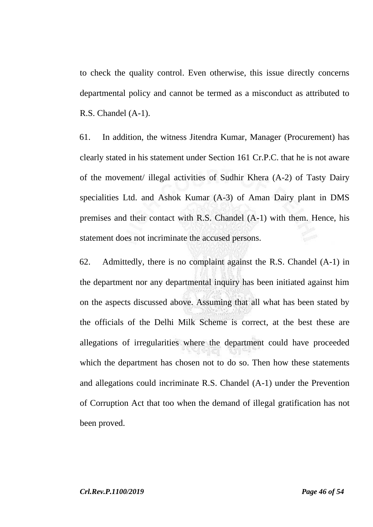to check the quality control. Even otherwise, this issue directly concerns departmental policy and cannot be termed as a misconduct as attributed to R.S. Chandel (A-1).

61. In addition, the witness Jitendra Kumar, Manager (Procurement) has clearly stated in his statement under Section 161 Cr.P.C. that he is not aware of the movement/ illegal activities of Sudhir Khera (A-2) of Tasty Dairy specialities Ltd. and Ashok Kumar (A-3) of Aman Dairy plant in DMS premises and their contact with R.S. Chandel (A-1) with them. Hence, his statement does not incriminate the accused persons.

62. Admittedly, there is no complaint against the R.S. Chandel (A-1) in the department nor any departmental inquiry has been initiated against him on the aspects discussed above. Assuming that all what has been stated by the officials of the Delhi Milk Scheme is correct, at the best these are allegations of irregularities where the department could have proceeded which the department has chosen not to do so. Then how these statements and allegations could incriminate R.S. Chandel (A-1) under the Prevention of Corruption Act that too when the demand of illegal gratification has not been proved.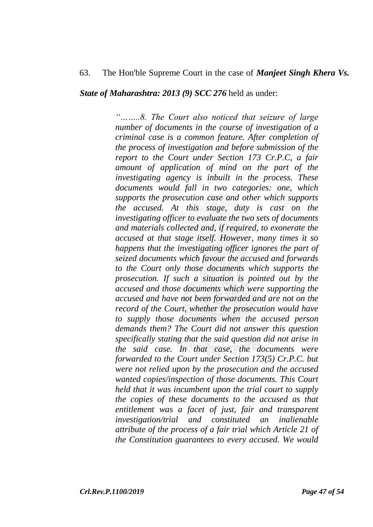### 63. The Hon'ble Supreme Court in the case of *Manjeet Singh Khera Vs.*

*State of Maharashtra: 2013 (9) SCC 276* held as under:

*"……..8. The Court also noticed that seizure of large number of documents in the course of investigation of a criminal case is a common feature. After completion of the process of investigation and before submission of the report to the Court under Section 173 Cr.P.C, a fair amount of application of mind on the part of the investigating agency is inbuilt in the process. These documents would fall in two categories: one, which supports the prosecution case and other which supports the accused. At this stage, duty is cast on the investigating officer to evaluate the two sets of documents and materials collected and, if required, to exonerate the accused at that stage itself. However, many times it so happens that the investigating officer ignores the part of seized documents which favour the accused and forwards to the Court only those documents which supports the prosecution. If such a situation is pointed out by the accused and those documents which were supporting the accused and have not been forwarded and are not on the record of the Court, whether the prosecution would have to supply those documents when the accused person demands them? The Court did not answer this question specifically stating that the said question did not arise in the said case. In that case, the documents were forwarded to the Court under Section 173(5) Cr.P.C. but were not relied upon by the prosecution and the accused wanted copies/inspection of those documents. This Court held that it was incumbent upon the trial court to supply the copies of these documents to the accused as that entitlement was a facet of just, fair and transparent investigation/trial and constituted an inalienable attribute of the process of a fair trial which Article 21 of the Constitution guarantees to every accused. We would*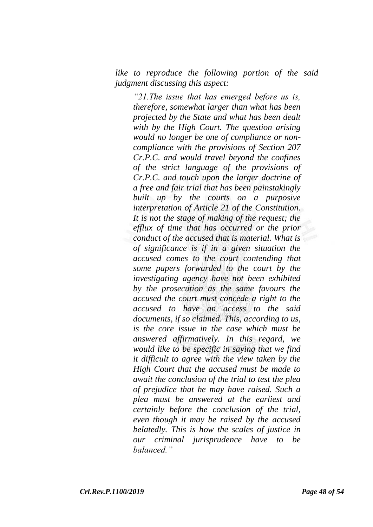*like to reproduce the following portion of the said judgment discussing this aspect:*

*"21.The issue that has emerged before us is, therefore, somewhat larger than what has been projected by the State and what has been dealt with by the High Court. The question arising would no longer be one of compliance or noncompliance with the provisions of Section 207 Cr.P.C. and would travel beyond the confines of the strict language of the provisions of Cr.P.C. and touch upon the larger doctrine of a free and fair trial that has been painstakingly built up by the courts on a purposive interpretation of Article 21 of the Constitution. It is not the stage of making of the request; the efflux of time that has occurred or the prior conduct of the accused that is material. What is of significance is if in a given situation the accused comes to the court contending that some papers forwarded to the court by the investigating agency have not been exhibited by the prosecution as the same favours the accused the court must concede a right to the accused to have an access to the said documents, if so claimed. This, according to us, is the core issue in the case which must be answered affirmatively. In this regard, we would like to be specific in saying that we find it difficult to agree with the view taken by the High Court that the accused must be made to await the conclusion of the trial to test the plea of prejudice that he may have raised. Such a plea must be answered at the earliest and certainly before the conclusion of the trial, even though it may be raised by the accused belatedly. This is how the scales of justice in our criminal jurisprudence have to be balanced."*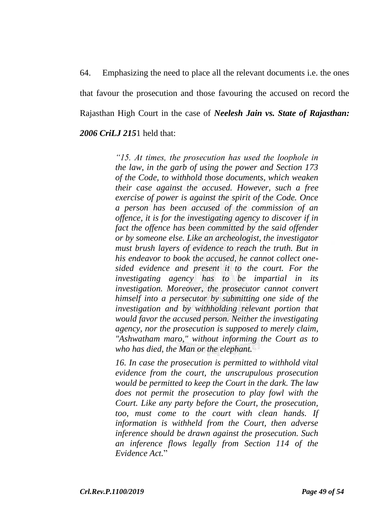64. Emphasizing the need to place all the relevant documents i.e. the ones that favour the prosecution and those favouring the accused on record the Rajasthan High Court in the case of *Neelesh Jain vs. State of Rajasthan: 2006 CriLJ 215*1 held that:

> *"15. At times, the prosecution has used the loophole in the law, in the garb of using the power and Section 173 of the Code, to withhold those documents, which weaken their case against the accused. However, such a free exercise of power is against the spirit of the Code. Once a person has been accused of the commission of an offence, it is for the investigating agency to discover if in fact the offence has been committed by the said offender or by someone else. Like an archeologist, the investigator must brush layers of evidence to reach the truth. But in his endeavor to book the accused, he cannot collect onesided evidence and present it to the court. For the investigating agency has to be impartial in its investigation. Moreover, the prosecutor cannot convert himself into a persecutor by submitting one side of the investigation and by withholding relevant portion that would favor the accused person. Neither the investigating agency, nor the prosecution is supposed to merely claim, "Ashwatham maro," without informing the Court as to who has died, the Man or the elephant.*

> *16. In case the prosecution is permitted to withhold vital evidence from the court, the unscrupulous prosecution would be permitted to keep the Court in the dark. The law does not permit the prosecution to play fowl with the Court. Like any party before the Court, the prosecution, too, must come to the court with clean hands. If information is withheld from the Court, then adverse inference should be drawn against the prosecution. Such an inference flows legally from Section 114 of the Evidence Act.*"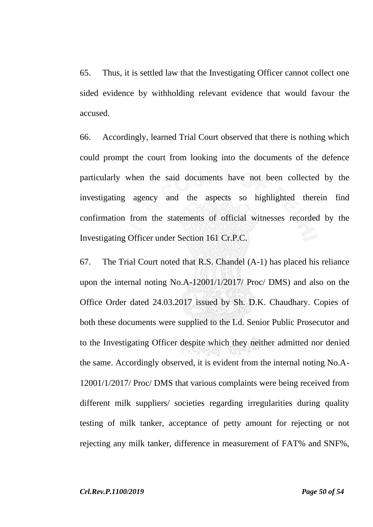65. Thus, it is settled law that the Investigating Officer cannot collect one sided evidence by withholding relevant evidence that would favour the accused.

66. Accordingly, learned Trial Court observed that there is nothing which could prompt the court from looking into the documents of the defence particularly when the said documents have not been collected by the investigating agency and the aspects so highlighted therein find confirmation from the statements of official witnesses recorded by the Investigating Officer under Section 161 Cr.P.C.

67. The Trial Court noted that R.S. Chandel (A-1) has placed his reliance upon the internal noting No.A-12001/1/2017/ Proc/ DMS) and also on the Office Order dated 24.03.2017 issued by Sh. D.K. Chaudhary. Copies of both these documents were supplied to the Ld. Senior Public Prosecutor and to the Investigating Officer despite which they neither admitted nor denied the same. Accordingly observed, it is evident from the internal noting No.A-12001/1/2017/ Proc/ DMS that various complaints were being received from different milk suppliers/ societies regarding irregularities during quality testing of milk tanker, acceptance of petty amount for rejecting or not rejecting any milk tanker, difference in measurement of FAT% and SNF%,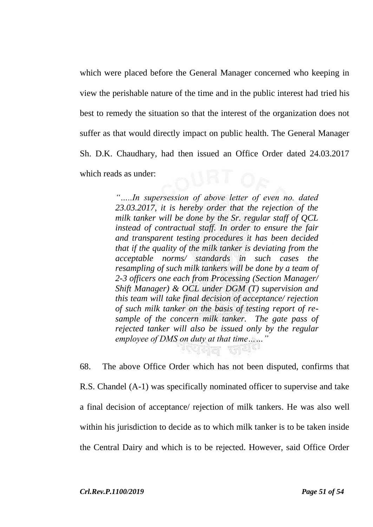which were placed before the General Manager concerned who keeping in view the perishable nature of the time and in the public interest had tried his best to remedy the situation so that the interest of the organization does not suffer as that would directly impact on public health. The General Manager Sh. D.K. Chaudhary, had then issued an Office Order dated 24.03.2017 which reads as under:

> *"…..In supersession of above letter of even no. dated 23.03.2017, it is hereby order that the rejection of the milk tanker will be done by the Sr. regular staff of QCL instead of contractual staff. In order to ensure the fair and transparent testing procedures it has been decided that if the quality of the milk tanker is deviating from the acceptable norms/ standards in such cases the resampling of such milk tankers will be done by a team of 2-3 officers one each from Processing (Section Manager/ Shift Manager) & OCL under DGM (T) supervision and this team will take final decision of acceptance/ rejection of such milk tanker on the basis of testing report of resample of the concern milk tanker. The gate pass of rejected tanker will also be issued only by the regular employee of DMS on duty at that time……"*

68. The above Office Order which has not been disputed, confirms that R.S. Chandel (A-1) was specifically nominated officer to supervise and take a final decision of acceptance/ rejection of milk tankers. He was also well within his jurisdiction to decide as to which milk tanker is to be taken inside the Central Dairy and which is to be rejected. However, said Office Order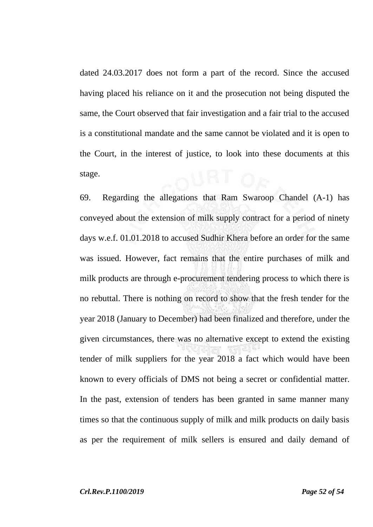dated 24.03.2017 does not form a part of the record. Since the accused having placed his reliance on it and the prosecution not being disputed the same, the Court observed that fair investigation and a fair trial to the accused is a constitutional mandate and the same cannot be violated and it is open to the Court, in the interest of justice, to look into these documents at this stage.

69. Regarding the allegations that Ram Swaroop Chandel (A-1) has conveyed about the extension of milk supply contract for a period of ninety days w.e.f. 01.01.2018 to accused Sudhir Khera before an order for the same was issued. However, fact remains that the entire purchases of milk and milk products are through e-procurement tendering process to which there is no rebuttal. There is nothing on record to show that the fresh tender for the year 2018 (January to December) had been finalized and therefore, under the given circumstances, there was no alternative except to extend the existing tender of milk suppliers for the year 2018 a fact which would have been known to every officials of DMS not being a secret or confidential matter. In the past, extension of tenders has been granted in same manner many times so that the continuous supply of milk and milk products on daily basis as per the requirement of milk sellers is ensured and daily demand of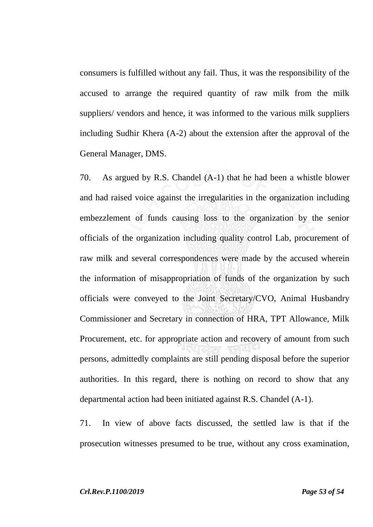consumers is fulfilled without any fail. Thus, it was the responsibility of the accused to arrange the required quantity of raw milk from the milk suppliers/ vendors and hence, it was informed to the various milk suppliers including Sudhir Khera (A-2) about the extension after the approval of the General Manager, DMS.

70. As argued by R.S. Chandel (A-1) that he had been a whistle blower and had raised voice against the irregularities in the organization including embezzlement of funds causing loss to the organization by the senior officials of the organization including quality control Lab, procurement of raw milk and several correspondences were made by the accused wherein the information of misappropriation of funds of the organization by such officials were conveyed to the Joint Secretary/CVO, Animal Husbandry Commissioner and Secretary in connection of HRA, TPT Allowance, Milk Procurement, etc. for appropriate action and recovery of amount from such persons, admittedly complaints are still pending disposal before the superior authorities. In this regard, there is nothing on record to show that any departmental action had been initiated against R.S. Chandel (A-1).

71. In view of above facts discussed, the settled law is that if the prosecution witnesses presumed to be true, without any cross examination,